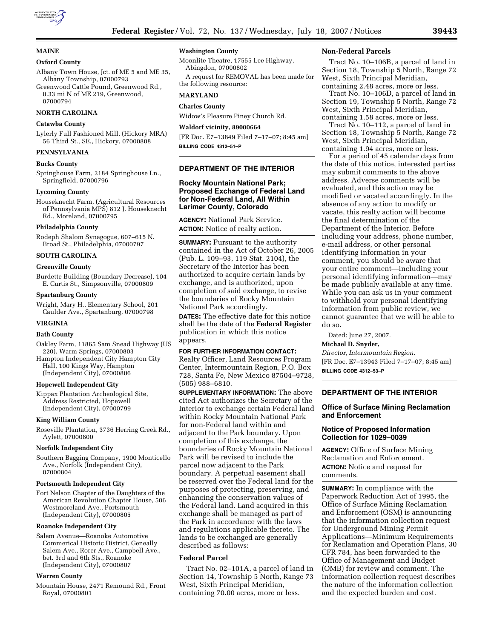

### **MAINE**

### **Oxford County**

Albany Town House, Jct. of ME 5 and ME 35, Albany Township, 07000793

Greenwood Cattle Pound, Greenwood Rd., 0.33 mi N of ME 219, Greenwood, 07000794

## **NORTH CAROLINA**

### **Catawba County**

Lylerly Full Fashioned Mill, (Hickory MRA) 56 Third St., SE., Hickory, 07000808

### **PENNSYLVANIA**

### **Bucks County**

Springhouse Farm, 2184 Springhouse Ln., Springfield, 07000796

#### **Lycoming County**

Houseknecht Farm, (Agricultural Resources of Pennsylvania MPS) 812 J. Houseknecht Rd., Moreland, 07000795

#### **Philadelphia County**

Rodeph Shalom Synagogue, 607–615 N. Broad St., Philadelphia, 07000797

### **SOUTH CAROLINA**

## **Greenville County**

Burdette Building (Boundary Decrease), 104 E. Curtis St., Simpsonville, 07000809

### **Spartanburg County**

Wright, Mary H., Elementary School, 201 Caulder Ave., Spartanburg, 07000798

### **VIRGINIA**

### **Bath County**

- Oakley Farm, 11865 Sam Snead Highway (US 220), Warm Springs, 07000803
- Hampton Independent City Hampton City Hall, 100 Kings Way, Hampton (Independent City), 07000806

## **Hopewell Independent City**

Kippax Plantation Archeological Site, Address Restricted, Hopewell (Independent City), 07000799

### **King William County**

Roseville Plantation, 3736 Herring Creek Rd., Aylett, 07000800

### **Norfolk Independent City**

Southern Bagging Company, 1900 Monticello Ave., Norfolk (Independent City), 07000804

#### **Portsmouth Independent City**

Fort Nelson Chapter of the Daughters of the American Revolution Chapter House, 506 Westmoreland Ave., Portsmouth (Independent City), 07000805

#### **Roanoke Independent City**

Salem Avenue—Roanoke Automotive Commerical Historic District, Geneally Salem Ave., Rorer Ave., Campbell Ave., bet. 3rd and 6th Sts., Roanoke (Independent City), 07000807

#### **Warren County**

Mountain House, 2471 Remound Rd., Front Royal, 07000801

# **Washington County**

Moonlite Theatre, 17555 Lee Highway, Abingdon, 07000802

A request for REMOVAL has been made for the following resource:

#### **MARYLAND**

# **Charles County**

Widow's Pleasure Piney Church Rd.

## **Waldorf vicinity, 89000664**

[FR Doc. E7–13849 Filed 7–17–07; 8:45 am] **BILLING CODE 4312–51–P** 

# **DEPARTMENT OF THE INTERIOR**

# **Rocky Mountain National Park; Proposed Exchange of Federal Land for Non-Federal Land, All Within Larimer County, Colorado**

**AGENCY:** National Park Service. **ACTION:** Notice of realty action.

**SUMMARY:** Pursuant to the authority contained in the Act of October 26, 2005 (Pub. L. 109–93, 119 Stat. 2104), the Secretary of the Interior has been authorized to acquire certain lands by exchange, and is authorized, upon completion of said exchange, to revise the boundaries of Rocky Mountain National Park accordingly.

**DATES:** The effective date for this notice shall be the date of the **Federal Register**  publication in which this notice appears.

### **FOR FURTHER INFORMATION CONTACT:**

Realty Officer, Land Resources Program Center, Intermountain Region, P.O. Box 728, Santa Fe, New Mexico 87504–9728, (505) 988–6810.

**SUPPLEMENTARY INFORMATION:** The above cited Act authorizes the Secretary of the Interior to exchange certain Federal land within Rocky Mountain National Park for non-Federal land within and adjacent to the Park boundary. Upon completion of this exchange, the boundaries of Rocky Mountain National Park will be revised to include the parcel now adjacent to the Park boundary. A perpetual easement shall be reserved over the Federal land for the purposes of protecting, preserving, and enhancing the conservation values of the Federal land. Land acquired in this exchange shall be managed as part of the Park in accordance with the laws and regulations applicable thereto. The lands to be exchanged are generally described as follows:

### **Federal Parcel**

Tract No. 02–101A, a parcel of land in Section 14, Township 5 North, Range 73 West, Sixth Principal Meridian, containing 70.00 acres, more or less.

#### **Non-Federal Parcels**

Tract No. 10–106B, a parcel of land in Section 18, Township 5 North, Range 72 West, Sixth Principal Meridian, containing 2.48 acres, more or less.

Tract No. 10–106D, a parcel of land in Section 19, Township 5 North, Range 72 West, Sixth Principal Meridian, containing 1.58 acres, more or less.

Tract No. 10–112, a parcel of land in Section 18, Township 5 North, Range 72 West, Sixth Principal Meridian, containing 1.94 acres, more or less.

For a period of 45 calendar days from the date of this notice, interested parties may submit comments to the above address. Adverse comments will be evaluated, and this action may be modified or vacated accordingly. In the absence of any action to modify or vacate, this realty action will become the final determination of the Department of the Interior. Before including your address, phone number, e-mail address, or other personal identifying information in your comment, you should be aware that your entire comment—including your personal identifying information—may be made publicly available at any time. While you can ask us in your comment to withhold your personal identifying information from public review, we cannot guarantee that we will be able to do so.

Dated: June 27, 2007.

# **Michael D. Snyder,**

*Director, Intermountain Region.*  [FR Doc. E7–13943 Filed 7–17–07; 8:45 am] **BILLING CODE 4312–53–P** 

## **DEPARTMENT OF THE INTERIOR**

## **Office of Surface Mining Reclamation and Enforcement**

# **Notice of Proposed Information Collection for 1029–0039**

**AGENCY:** Office of Surface Mining Reclamation and Enforcement. **ACTION:** Notice and request for comments.

**SUMMARY:** In compliance with the Paperwork Reduction Act of 1995, the Office of Surface Mining Reclamation and Enforcement (OSM) is announcing that the information collection request for Underground Mining Permit Applications—Minimum Requirements for Reclamation and Operation Plans, 30 CFR 784, has been forwarded to the Office of Management and Budget (OMB) for review and comment. The information collection request describes the nature of the information collection and the expected burden and cost.